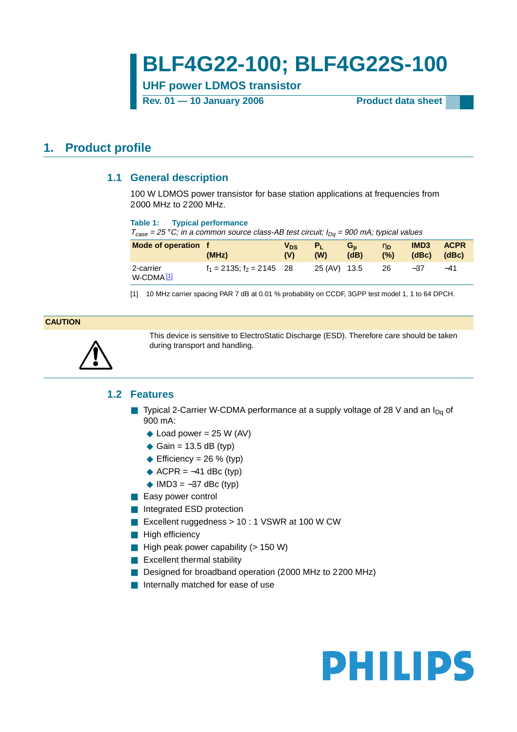# **BLF4G22-100; BLF4G22S-100**

**UHF power LDMOS transistor**

Rev. 01 — 10 January 2006 **Product data sheet** 

## <span id="page-0-2"></span><span id="page-0-1"></span>**1. Product profile**

### **1.1 General description**

100 W LDMOS power transistor for base station applications at frequencies from 2000 MHz to 2200 MHz.

### **Table 1: Typical performance**

 $T_{case} = 25 °C$ ; in a common source class-AB test circuit;  $I_{Dq} = 900$  mA; typical values

| Mode of operation f                | (MHz)                          | V <sub>DS</sub><br>(V) | (W)          | $G_{n}$<br>(dB) | $n_{D}$<br>(%) | IMD <sub>3</sub><br>(dBc) | <b>ACPR</b><br>(dBc) |
|------------------------------------|--------------------------------|------------------------|--------------|-----------------|----------------|---------------------------|----------------------|
| 2-carrier<br>W-CDMA <sup>[1]</sup> | $f_1 = 2135$ ; $f_2 = 2145$ 28 |                        | 25 (AV) 13.5 |                 | - 26           | $-37$                     | $-41$                |

<span id="page-0-0"></span>[1] 10 MHz carrier spacing PAR 7 dB at 0.01 % probability on CCDF, 3GPP test model 1, 1 to 64 DPCH.

### **CAUTION**

<span id="page-0-3"></span>

This device is sensitive to ElectroStatic Discharge (ESD). Therefore care should be taken during transport and handling.

### **1.2 Features**

- **■** Typical 2-Carrier W-CDMA performance at a supply voltage of 28 V and an  $I_{Dq}$  of 900 mA:
	- $\triangle$  Load power = 25 W (AV)
	- $\triangleleft$  Gain = 13.5 dB (typ)
	- ◆ Efficiency = 26 % (typ)
	- $\triangle$  ACPR =  $-41$  dBc (typ)
	- $\blacklozenge$  IMD3 =  $-37$  dBc (typ)
- Easy power control
- Integrated ESD protection
- Excellent ruggedness > 10 : 1 VSWR at 100 W CW
- High efficiency
- High peak power capability (> 150 W)
- Excellent thermal stability
- Designed for broadband operation (2000 MHz to 2200 MHz)
- Internally matched for ease of use

# **PHILIPS**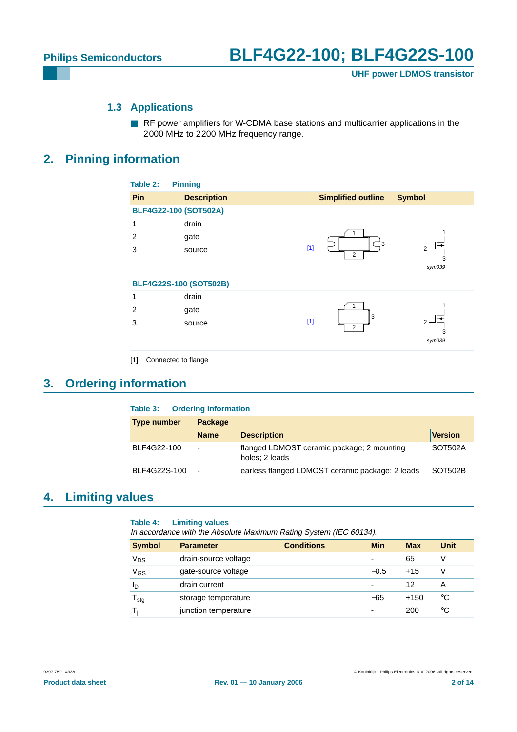### **1.3 Applications**

■ RF power amplifiers for W-CDMA base stations and multicarrier applications in the 2000 MHz to 2200 MHz frequency range.

## <span id="page-1-2"></span><span id="page-1-1"></span>**2. Pinning information**

| Pin | <b>Description</b>           | <b>Simplified outline</b><br><b>Symbol</b> |
|-----|------------------------------|--------------------------------------------|
|     | <b>BLF4G22-100 (SOT502A)</b> |                                            |
| 1   | drain                        |                                            |
| 2   | gate                         |                                            |
| 3   | source                       | $^-$ 3<br>$[1]$<br>2                       |
|     |                              | 3<br>sym039                                |
|     | BLF4G22S-100 (SOT502B)       |                                            |
| 1   | drain                        |                                            |
| 2   | gate                         | 3                                          |
| 3   | source                       | $\boxed{1}$<br>2                           |
|     |                              | 3<br>sym039                                |

## <span id="page-1-3"></span>**3. Ordering information**

<span id="page-1-0"></span>

| <b>Ordering information</b><br>Table 3: |                          |                                                              |                |  |
|-----------------------------------------|--------------------------|--------------------------------------------------------------|----------------|--|
| <b>Type number</b><br>Package           |                          |                                                              |                |  |
|                                         | <b>Name</b>              | <b>Description</b>                                           | <b>Version</b> |  |
| BLF4G22-100                             | $\overline{\phantom{0}}$ | flanged LDMOST ceramic package; 2 mounting<br>holes: 2 leads | SOT502A        |  |
| BLF4G22S-100                            | $\overline{\phantom{a}}$ | earless flanged LDMOST ceramic package; 2 leads              | SOT502B        |  |

## <span id="page-1-4"></span>**4. Limiting values**

### **Table 4: Limiting values**

In accordance with the Absolute Maximum Rating System (IEC 60134).

| <b>Symbol</b>              | <b>Parameter</b>     | <b>Conditions</b> | Min                      | <b>Max</b> | Unit |
|----------------------------|----------------------|-------------------|--------------------------|------------|------|
| Vps                        | drain-source voltage |                   | $\overline{\phantom{0}}$ | 65         | V    |
| V <sub>GS</sub>            | gate-source voltage  |                   | $-0.5$                   | $+15$      | V    |
| ID                         | drain current        |                   | $\overline{\phantom{0}}$ | 12         | А    |
| ${\mathsf T}_{\text{stg}}$ | storage temperature  |                   | $-65$                    | $+150$     | °C   |
|                            | junction temperature |                   | -                        | 200        | °C   |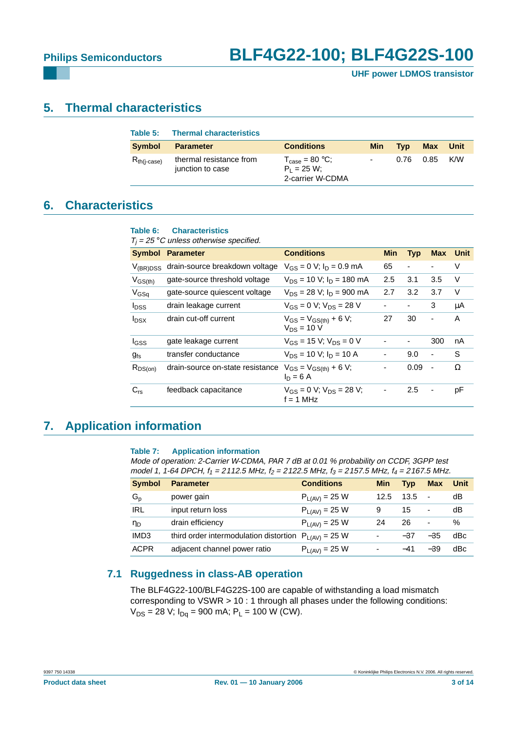**UHF power LDMOS transistor**

### <span id="page-2-0"></span>**5. Thermal characteristics**

| Table 5:         | <b>Thermal characteristics</b>              |                                                                           |            |            |             |             |
|------------------|---------------------------------------------|---------------------------------------------------------------------------|------------|------------|-------------|-------------|
| <b>Symbol</b>    | <b>Parameter</b>                            | <b>Conditions</b>                                                         | <b>Min</b> | <b>Tvp</b> | <b>Max</b>  | <b>Unit</b> |
| $R_{th(i-case)}$ | thermal resistance from<br>junction to case | $T_{\text{case}} = 80 \text{ °C}$ ;<br>$P_1 = 25 W$ :<br>2-carrier W-CDMA | $\sim$     |            | $0.76$ 0.85 | K/W         |

### <span id="page-2-1"></span>**6. Characteristics**

### **Table 6: Characteristics**

 $T_i = 25$  °C unless otherwise specified.

|                         | ------- ---------                |                                                 |                          |                              |     |      |
|-------------------------|----------------------------------|-------------------------------------------------|--------------------------|------------------------------|-----|------|
| <b>Symbol</b>           | <b>Parameter</b>                 | <b>Conditions</b>                               | <b>Min</b>               | <b>Typ</b>                   | Max | Unit |
| $V_{(BR)DSS}$           | drain-source breakdown voltage   | $V_{GS} = 0$ V; $I_D = 0.9$ mA                  | 65                       | $\qquad \qquad \blacksquare$ | ٠   | V    |
| $V_{GS(th)}$            | gate-source threshold voltage    | $V_{DS}$ = 10 V; $I_D$ = 180 mA                 | 2.5                      | 3.1                          | 3.5 | V    |
| $V_{GSq}$               | gate-source quiescent voltage    | $V_{DS}$ = 28 V; $I_D$ = 900 mA                 | 2.7                      | 3.2                          | 3.7 | V    |
| <b>I</b> <sub>DSS</sub> | drain leakage current            | $V_{GS} = 0 V$ ; $V_{DS} = 28 V$                | $\blacksquare$           | $\overline{\phantom{a}}$     | 3   | μA   |
| $I_{DSX}$               | drain cut-off current            | $V_{GS} = V_{GS(th)} + 6 V;$<br>$V_{DS}$ = 10 V | 27                       | 30                           | -   | A    |
| I <sub>GSS</sub>        | gate leakage current             | $V_{GS}$ = 15 V; $V_{DS}$ = 0 V                 |                          | $\overline{\phantom{a}}$     | 300 | nA   |
| $g_{fs}$                | transfer conductance             | $V_{DS}$ = 10 V; $I_D$ = 10 A                   | $\overline{\phantom{a}}$ | 9.0                          | ٠   | S    |
| $R_{DS(on)}$            | drain-source on-state resistance | $V_{GS} = V_{GS(th)} + 6 V;$<br>$I_D = 6 A$     | $\overline{\phantom{a}}$ | 0.09                         | ÷,  | Ω    |
| $C_{rs}$                | feedback capacitance             | $V_{GS} = 0$ V; $V_{DS} = 28$ V;<br>$f = 1$ MHz |                          | 2.5                          | ۰   | рF   |

## <span id="page-2-2"></span>**7. Application information**

### **Table 7: Application information**

Mode of operation: 2-Carrier W-CDMA, PAR 7 dB at 0.01 % probability on CCDF, 3GPP test model 1, 1-64 DPCH,  $f_1 = 2112.5$  MHz,  $f_2 = 2122.5$  MHz,  $f_3 = 2157.5$  MHz,  $f_4 = 2167.5$  MHz.

| <b>Symbol</b>    | <b>Parameter</b>                                          | <b>Conditions</b>  | <b>Min</b> | <b>Typ</b> | <b>Max</b>               | Unit |
|------------------|-----------------------------------------------------------|--------------------|------------|------------|--------------------------|------|
| $G_p$            | power gain                                                | $P_{L(AV)} = 25 W$ | 12.5       | 13.5       | $\sim$                   | dВ   |
| <b>IRL</b>       | input return loss                                         | $P_{L(AV)} = 25 W$ | 9          | 15         | $\overline{\phantom{a}}$ | dB   |
| ηD               | drain efficiency                                          | $P_{L(AV)} = 25 W$ | 24         | 26         | $\overline{\phantom{a}}$ | $\%$ |
| IMD <sub>3</sub> | third order intermodulation distortion $P_{L(AV)} = 25$ W |                    | ۰          | $-37$      | $-35$                    | dBc  |
| <b>ACPR</b>      | adjacent channel power ratio                              | $P_{L(AV)} = 25 W$ |            | $-41$      | $-39$                    | dBc  |

### <span id="page-2-3"></span>**7.1 Ruggedness in class-AB operation**

The BLF4G22-100/BLF4G22S-100 are capable of withstanding a load mismatch corresponding to VSWR > 10 : 1 through all phases under the following conditions:  $V_{DS}$  = 28 V;  $I_{Dq}$  = 900 mA; P<sub>L</sub> = 100 W (CW).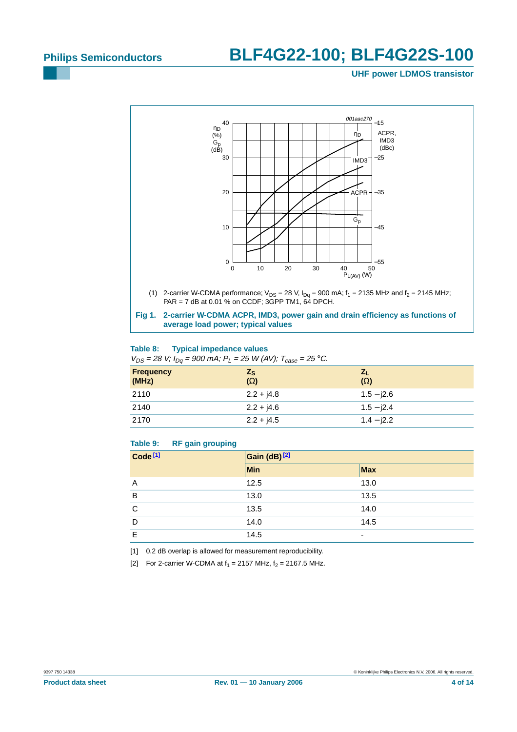### **UHF power LDMOS transistor**



#### **Table 8: Typical impedance values**  $V_{DS} = 28 V; I_{Dg} = 900 \text{ mA}; P_L = 25 W (AV); T_{csc} = 25 \degree C.$

| $V_{DS}$ = 20 $V$ , $I_{DG}$ = 000 $I_{UV}$ , $I_{L}$ = 20 $V_{V}$ (1V), $I_{Case}$ = 20 0. |              |              |  |  |  |
|---------------------------------------------------------------------------------------------|--------------|--------------|--|--|--|
| <b>Frequency</b>                                                                            | $Z_{\rm S}$  | $Z_{L}$      |  |  |  |
| (MHz)                                                                                       | $(\Omega)$   | $(\Omega)$   |  |  |  |
| 2110                                                                                        | $2.2 + j4.8$ | $1.5 - 12.6$ |  |  |  |
| 2140                                                                                        | $2.2 + j4.6$ | $1.5 - 12.4$ |  |  |  |
| 2170                                                                                        | $2.2 + j4.5$ | $1.4 - 12.2$ |  |  |  |

### **Table 9: RF gain grouping**

| Code <sub>[1]</sub> | Gain (dB) <sup>[2]</sup> |            |  |  |  |
|---------------------|--------------------------|------------|--|--|--|
|                     | <b>Min</b>               | <b>Max</b> |  |  |  |
| A                   | 12.5                     | 13.0       |  |  |  |
| B                   | 13.0                     | 13.5       |  |  |  |
| C                   | 13.5                     | 14.0       |  |  |  |
| D                   | 14.0                     | 14.5       |  |  |  |
| E                   | 14.5                     | ٠          |  |  |  |

<span id="page-3-0"></span>[1] 0.2 dB overlap is allowed for measurement reproducibility.

<span id="page-3-1"></span>[2] For 2-carrier W-CDMA at  $f_1 = 2157$  MHz,  $f_2 = 2167.5$  MHz.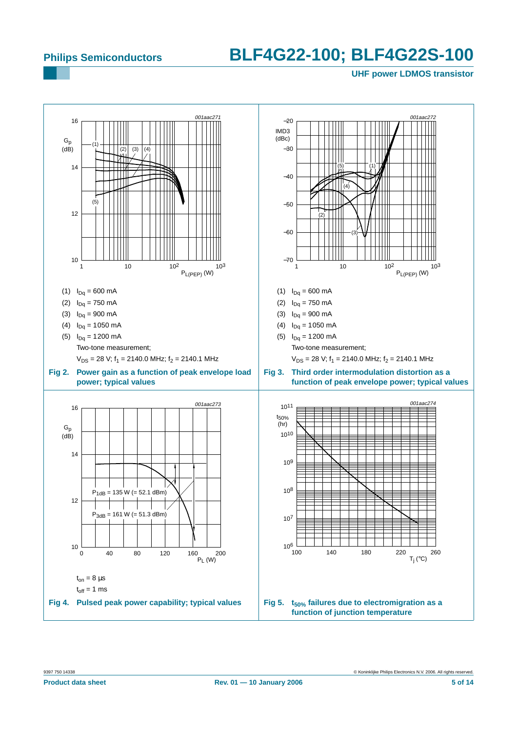### **UHF power LDMOS transistor**

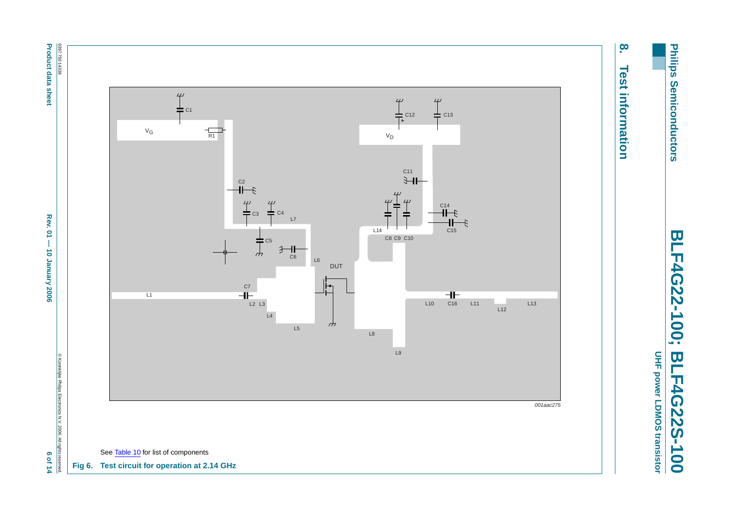Philips Semiconductors **Philips Semiconductors**

**BLF4G22-100; BLF4G22S-100** BLF4G22-100; **BLF4G22S-100** 

<span id="page-5-0"></span>UHF power LDMOS transistor **UHF power LDMOS transistor**

# <u>o</u> **8. Test information Test information**



**Product data sheet** 

<span id="page-5-1"></span>**Product data sheet Rev. 01 — 10 January 2006 6 of 14**  $\sigma$  **2007 6 of 14** Rev. 01 - 10 January 2006

6 of 14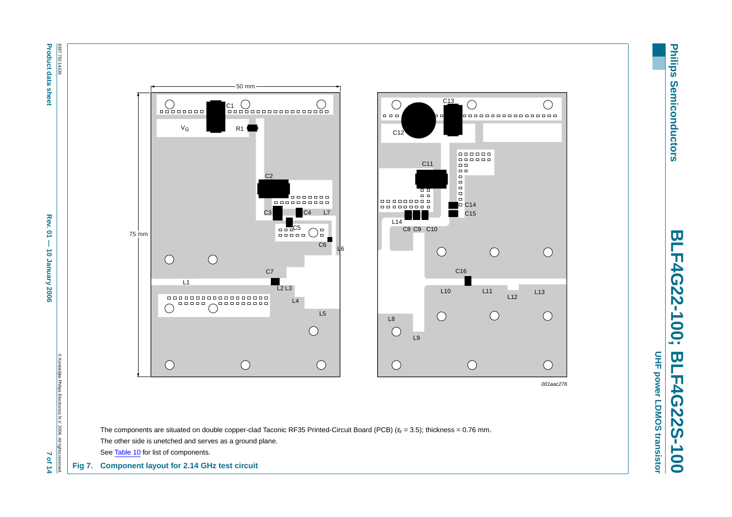8397 750 14338 **Product data sheet Product data sheet Rev. 01**  $-$  **0.006**  $-$  **10 January 20, 2006**  $-$  **10 January 2006**  $-$  **10**  $-$  **10 January 2006**  $-$  **10 January 2006**  $-$  **10 January 2006**  $-$  **10 January 2006**  $-$  **10 January 2006**  $-$  **10 January 2006**  $-$ 9397 750 14338

 $Rew.01 -$ 

10 January 2006

© Koninklijke Philips Electronics N.V. 2006. All rights reserved.

7 of 14

© Koninklijke Philips Electronics N.V. 2006. All rights



[Table](#page-7-0) 10 for list of components.

**Fig 7. Component layout for 2.14 GHz test circuit**

<u>le</u>

F4G22-100;

L12

 $\bigcirc$ 

L13

 $\bigcirc$ 

 $\bigcirc$ 

 $\bigcirc$ 

<span id="page-6-0"></span>001aac276

**BLF4G22-100; BLF4G22S-100 BLF4G22S-100**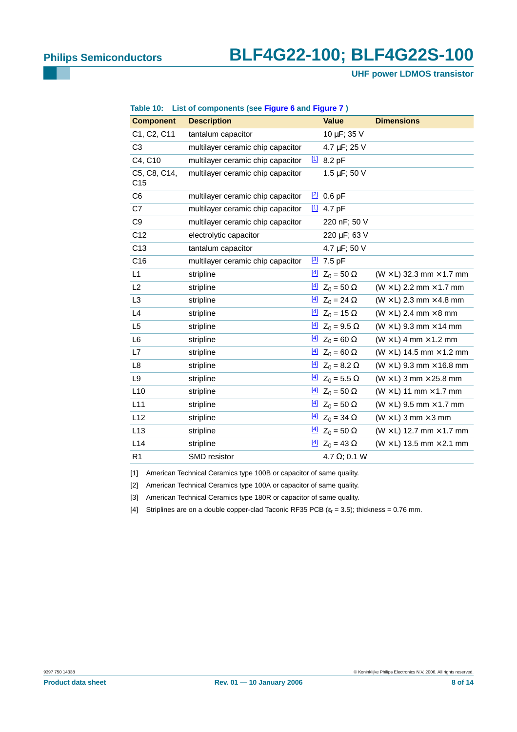<span id="page-7-0"></span>**UHF power LDMOS transistor**

| Table 10:                       | List of components (see Figure 6 and Figure 7) |                                        |                                        |
|---------------------------------|------------------------------------------------|----------------------------------------|----------------------------------------|
| <b>Component</b>                | <b>Description</b>                             | <b>Value</b>                           | <b>Dimensions</b>                      |
| C1, C2, C11                     | tantalum capacitor                             | 10 µF; 35 V                            |                                        |
| C <sub>3</sub>                  | multilayer ceramic chip capacitor              | 4.7 µF; 25 V                           |                                        |
| C4, C10                         | multilayer ceramic chip capacitor              | $11$ 8.2 pF                            |                                        |
| C5, C8, C14,<br>C <sub>15</sub> | multilayer ceramic chip capacitor              | $1.5 \,\mu F$ ; 50 V                   |                                        |
| C <sub>6</sub>                  | multilayer ceramic chip capacitor              | $\frac{[2]}{[2]}$ 0.6 pF               |                                        |
| C7                              | multilayer ceramic chip capacitor              | $11$ 4.7 pF                            |                                        |
| C <sub>9</sub>                  | multilayer ceramic chip capacitor              | 220 nF; 50 V                           |                                        |
| C12                             | electrolytic capacitor                         | 220 µF; 63 V                           |                                        |
| C <sub>13</sub>                 | tantalum capacitor                             | 4.7 µF; 50 V                           |                                        |
| C <sub>16</sub>                 | multilayer ceramic chip capacitor              | $\frac{3}{2}$ 7.5 pF                   |                                        |
| L1                              | stripline                                      | $\frac{[4]}{2}$ Z <sub>0</sub> = 50 Ω  | $(W \times L)$ 32.3 mm $\times$ 1.7 mm |
| L2                              | stripline                                      | <u>[4]</u> $Z_0 = 50 Ω$                | $(W \times L)$ 2.2 mm $\times$ 1.7 mm  |
| L <sub>3</sub>                  | stripline                                      | $\frac{[4]}{2}$ Z <sub>0</sub> = 24 Ω  | $(W \times L)$ 2.3 mm $\times$ 4.8 mm  |
| L4                              | stripline                                      | <u>[4]</u> $Z_0 = 15 Ω$                | $(W \times L)$ 2.4 mm $\times$ 8 mm    |
| L <sub>5</sub>                  | stripline                                      | $\frac{[4]}{2}$ Z <sub>0</sub> = 9.5 Ω | $(W \times L)$ 9.3 mm $\times$ 14 mm   |
| L6                              | stripline                                      | <u>[4]</u> $Z_0 = 60 Ω$                | $(W \times L)$ 4 mm $\times$ 1.2 mm    |
| L7                              | stripline                                      | <u>[4]</u> $Z_0 = 60 Ω$                | $(W \times L)$ 14.5 mm $\times$ 1.2 mm |
| L8                              | stripline                                      | $\frac{[4]}{2}$ Z <sub>0</sub> = 8.2 Ω | $(W \times L)$ 9.3 mm $\times$ 16.8 mm |
| L <sub>9</sub>                  | stripline                                      | $\frac{[4]}{2}$ Z <sub>0</sub> = 5.5 Ω | $(W \times L)$ 3 mm $\times$ 25.8 mm   |
| L10                             | stripline                                      | $\frac{[4]}{2}$ Z <sub>0</sub> = 50 Ω  | $(W \times L)$ 11 mm $\times$ 1.7 mm   |
| L11                             | stripline                                      | $\frac{[4]}{2}$ Z <sub>0</sub> = 50 Ω  | $(W \times L)$ 9.5 mm $\times$ 1.7 mm  |
| L12                             | stripline                                      | <u>[4]</u> $Z_0 = 34 Ω$                | $(W \times L)$ 3 mm $\times$ 3 mm      |
| L <sub>13</sub>                 | stripline                                      | <u>[4]</u> $Z_0 = 50 Ω$                | $(W \times L)$ 12.7 mm $\times$ 1.7 mm |
| L14                             | stripline                                      | $\frac{[4]}{2}$ Z <sub>0</sub> = 43 Ω  | $(W \times L)$ 13.5 mm $\times$ 2.1 mm |
| R <sub>1</sub>                  | SMD resistor                                   | 4.7 $\Omega$ ; 0.1 W                   |                                        |

### **Table 10: List of components (see [Figure](#page-5-0) 6 and [Figure](#page-6-0) 7 )**

<span id="page-7-1"></span>[1] American Technical Ceramics type 100B or capacitor of same quality.

<span id="page-7-2"></span>[2] American Technical Ceramics type 100A or capacitor of same quality.

<span id="page-7-3"></span>[3] American Technical Ceramics type 180R or capacitor of same quality.

<span id="page-7-4"></span>[4] Striplines are on a double copper-clad Taconic RF35 PCB ( $\varepsilon_r$  = 3.5); thickness = 0.76 mm.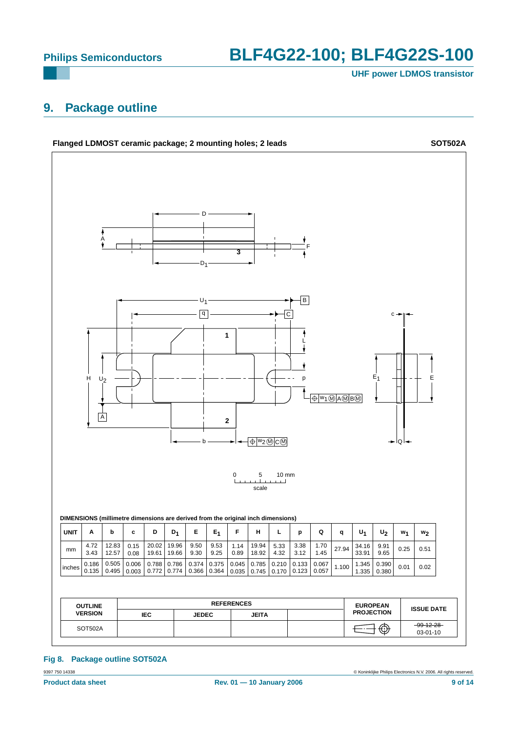**UHF power LDMOS transistor**

## <span id="page-8-0"></span>**9. Package outline**



9397 750 14338 © Koninklijke Philips Electronics N.V. 2006. All rights reserved. **Fig 8. Package outline SOT502A**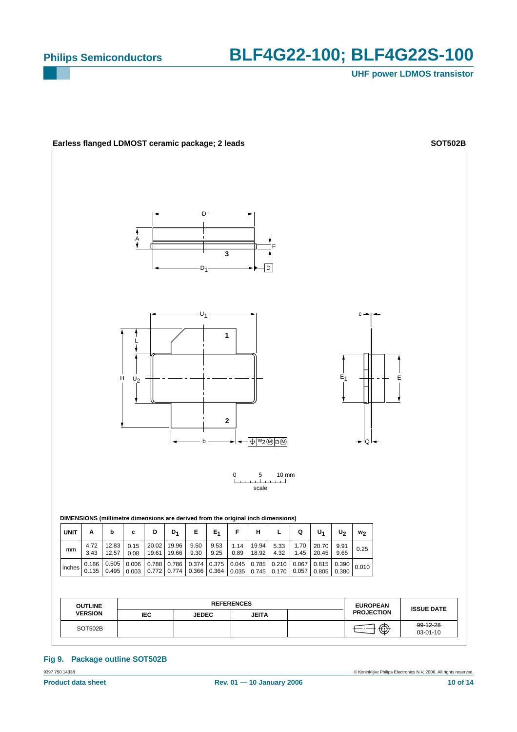**UHF power LDMOS transistor**



**Fig 9. Package outline SOT502B**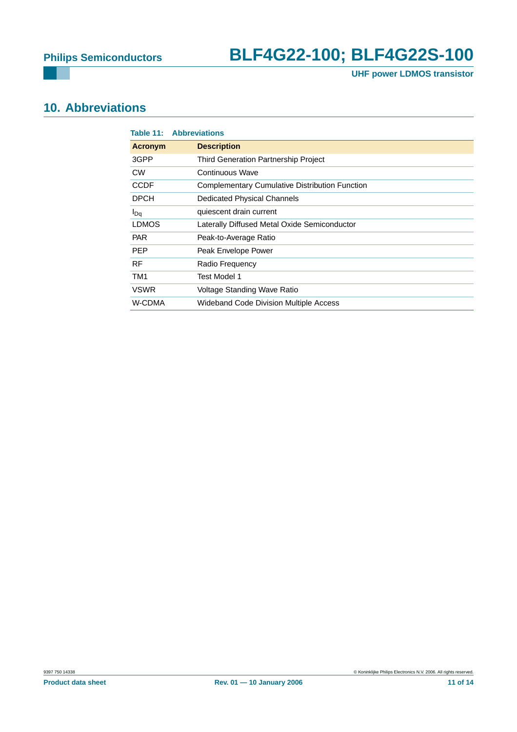**UHF power LDMOS transistor**

## <span id="page-10-0"></span>**10. Abbreviations**

|                | <b>Table 11: Abbreviations</b>                        |
|----------------|-------------------------------------------------------|
| <b>Acronym</b> | <b>Description</b>                                    |
| 3GPP           | <b>Third Generation Partnership Project</b>           |
| <b>CW</b>      | Continuous Wave                                       |
| <b>CCDF</b>    | <b>Complementary Cumulative Distribution Function</b> |
| <b>DPCH</b>    | Dedicated Physical Channels                           |
| $I_{Dq}$       | quiescent drain current                               |
| <b>LDMOS</b>   | Laterally Diffused Metal Oxide Semiconductor          |
| <b>PAR</b>     | Peak-to-Average Ratio                                 |
| <b>PEP</b>     | Peak Envelope Power                                   |
| <b>RF</b>      | Radio Frequency                                       |
| TM1            | Test Model 1                                          |
| <b>VSWR</b>    | Voltage Standing Wave Ratio                           |
| W-CDMA         | <b>Wideband Code Division Multiple Access</b>         |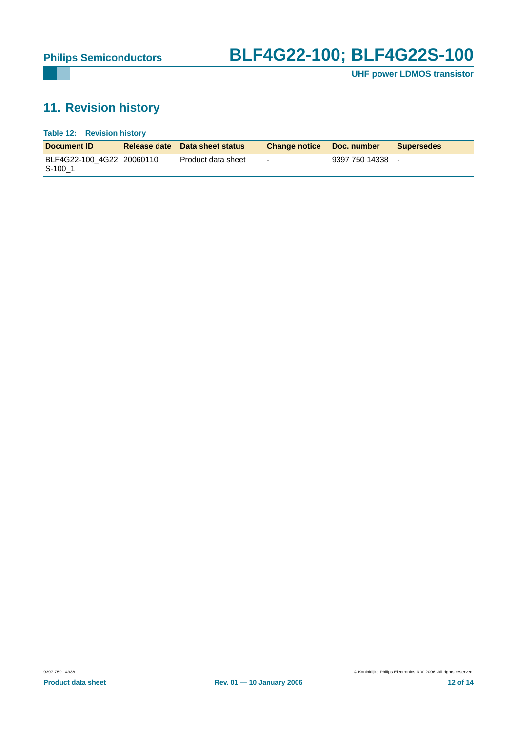**UHF power LDMOS transistor**

## <span id="page-11-0"></span>**11. Revision history**

| Table 12: Revision history |  |
|----------------------------|--|
|                            |  |

| Document <b>ID</b>                     | Release date Data sheet status | Change notice Doc. number |                  | <b>Supersedes</b> |
|----------------------------------------|--------------------------------|---------------------------|------------------|-------------------|
| BLF4G22-100 4G22 20060110<br>$S-100$ 1 | Product data sheet             | $\sim$                    | 9397 750 14338 - |                   |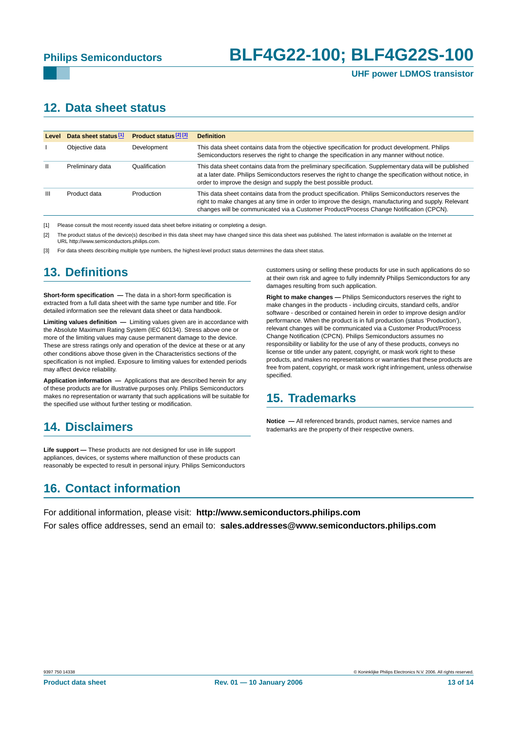## <span id="page-12-0"></span>**12. Data sheet status**

| Level | Data sheet status <sup>[1]</sup> | Product status <sup>[2][3]</sup> | <b>Definition</b>                                                                                                                                                                                                                                                                                    |
|-------|----------------------------------|----------------------------------|------------------------------------------------------------------------------------------------------------------------------------------------------------------------------------------------------------------------------------------------------------------------------------------------------|
|       | Objective data                   | Development                      | This data sheet contains data from the objective specification for product development. Philips<br>Semiconductors reserves the right to change the specification in any manner without notice.                                                                                                       |
| Ш     | Preliminary data                 | Qualification                    | This data sheet contains data from the preliminary specification. Supplementary data will be published<br>at a later date. Philips Semiconductors reserves the right to change the specification without notice, in<br>order to improve the design and supply the best possible product.             |
| Ш     | Product data                     | Production                       | This data sheet contains data from the product specification. Philips Semiconductors reserves the<br>right to make changes at any time in order to improve the design, manufacturing and supply. Relevant<br>changes will be communicated via a Customer Product/Process Change Notification (CPCN). |

[1] Please consult the most recently issued data sheet before initiating or completing a design.

[2] The product status of the device(s) described in this data sheet may have changed since this data sheet was published. The latest information is available on the Internet at URL http://www.semiconductors.philips.com.

For data sheets describing multiple type numbers, the highest-level product status determines the data sheet status.

## <span id="page-12-1"></span>**13. Definitions**

**Short-form specification —** The data in a short-form specification is extracted from a full data sheet with the same type number and title. For detailed information see the relevant data sheet or data handbook.

**Limiting values definition —** Limiting values given are in accordance with the Absolute Maximum Rating System (IEC 60134). Stress above one or more of the limiting values may cause permanent damage to the device. These are stress ratings only and operation of the device at these or at any other conditions above those given in the Characteristics sections of the specification is not implied. Exposure to limiting values for extended periods may affect device reliability.

**Application information —** Applications that are described herein for any of these products are for illustrative purposes only. Philips Semiconductors makes no representation or warranty that such applications will be suitable for the specified use without further testing or modification.

## <span id="page-12-2"></span>**14. Disclaimers**

**Life support —** These products are not designed for use in life support appliances, devices, or systems where malfunction of these products can reasonably be expected to result in personal injury. Philips Semiconductors

## <span id="page-12-4"></span>**16. Contact information**

customers using or selling these products for use in such applications do so at their own risk and agree to fully indemnify Philips Semiconductors for any damages resulting from such application.

**Right to make changes —** Philips Semiconductors reserves the right to make changes in the products - including circuits, standard cells, and/or software - described or contained herein in order to improve design and/or performance. When the product is in full production (status 'Production'), relevant changes will be communicated via a Customer Product/Process Change Notification (CPCN). Philips Semiconductors assumes no responsibility or liability for the use of any of these products, conveys no license or title under any patent, copyright, or mask work right to these products, and makes no representations or warranties that these products are free from patent, copyright, or mask work right infringement, unless otherwise specified.

### <span id="page-12-3"></span>**15. Trademarks**

**Notice —** All referenced brands, product names, service names and trademarks are the property of their respective owners.

For additional information, please visit: **http://www.semiconductors.philips.com** For sales office addresses, send an email to: **sales.addresses@www.semiconductors.philips.com**